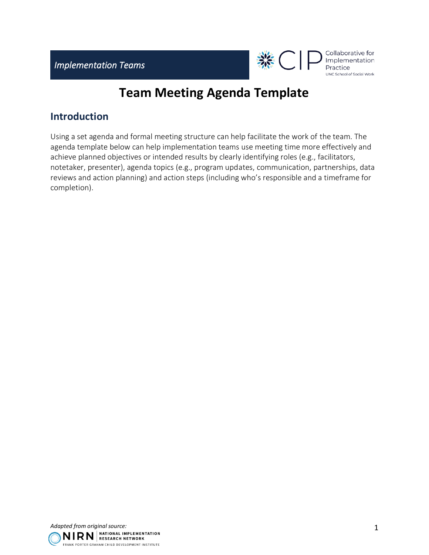

# **Team Meeting Agenda Template**

## **Introduction**

Using a set agenda and formal meeting structure can help facilitate the work of the team. The agenda template below can help implementation teams use meeting time more effectively and achieve planned objectives or intended results by clearly identifying roles (e.g., facilitators, notetaker, presenter), agenda topics (e.g., program updates, communication, partnerships, data reviews and action planning) and action steps (including who's responsible and a timeframe for completion).

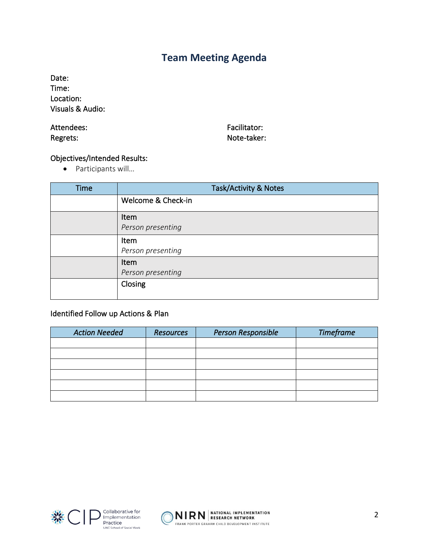# **Team Meeting Agenda**

Date: Time: Location: Visuals & Audio:

#### Attendees: Regrets:

Facilitator: Note-taker:

## Objectives/Intended Results:

• Participants will…

| <b>Time</b> | <b>Task/Activity &amp; Notes</b> |  |  |
|-------------|----------------------------------|--|--|
|             | Welcome & Check-in               |  |  |
|             | Item                             |  |  |
|             | Person presenting                |  |  |
|             | Item                             |  |  |
|             | Person presenting                |  |  |
|             | Item                             |  |  |
|             | Person presenting                |  |  |
|             | Closing                          |  |  |
|             |                                  |  |  |

## Identified Follow up Actions & Plan

| <b>Action Needed</b> | <b>Resources</b> | Person Responsible | <b>Timeframe</b> |
|----------------------|------------------|--------------------|------------------|
|                      |                  |                    |                  |
|                      |                  |                    |                  |
|                      |                  |                    |                  |
|                      |                  |                    |                  |
|                      |                  |                    |                  |
|                      |                  |                    |                  |